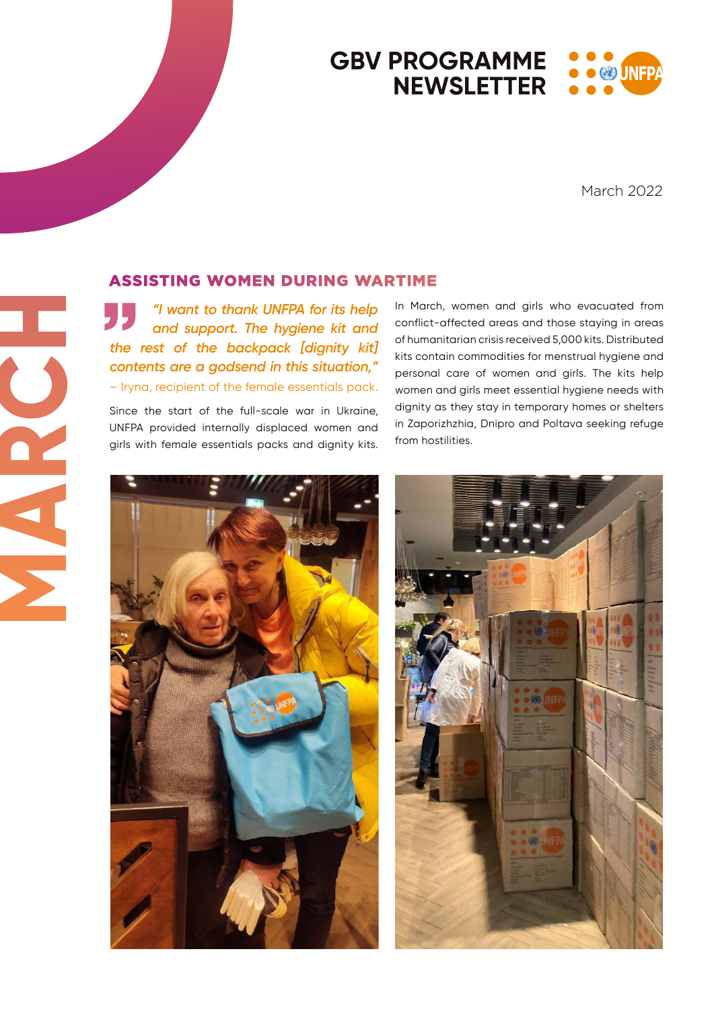### **GBV PROGRAMME**  $\bullet$  (2) UNE **NEWSLETTER**

March 2022

### ASSISTING WOMEN DURING WARTIME

*"I want to thank UNFPA for its help and support. The hygiene kit and the rest of the backpack [dignity kit] contents are a godsend in this situation,"* – Iryna, recipient of the female essentials pack.

Since the start of the full-scale war in Ukraine, UNFPA provided internally displaced women and girls with female essentials packs and dignity kits.

In March, women and girls who evacuated from conflict-affected areas and those staying in areas of humanitarian crisis received 5,000 kits. Distributed kits contain commodities for menstrual hygiene and personal care of women and girls. The kits help women and airls meet essential hygiene needs with dignity as they stay in temporary homes or shelters in Zaporizhzhia, Dnipro and Poltava seeking refuge from hostilities.





**MARCH**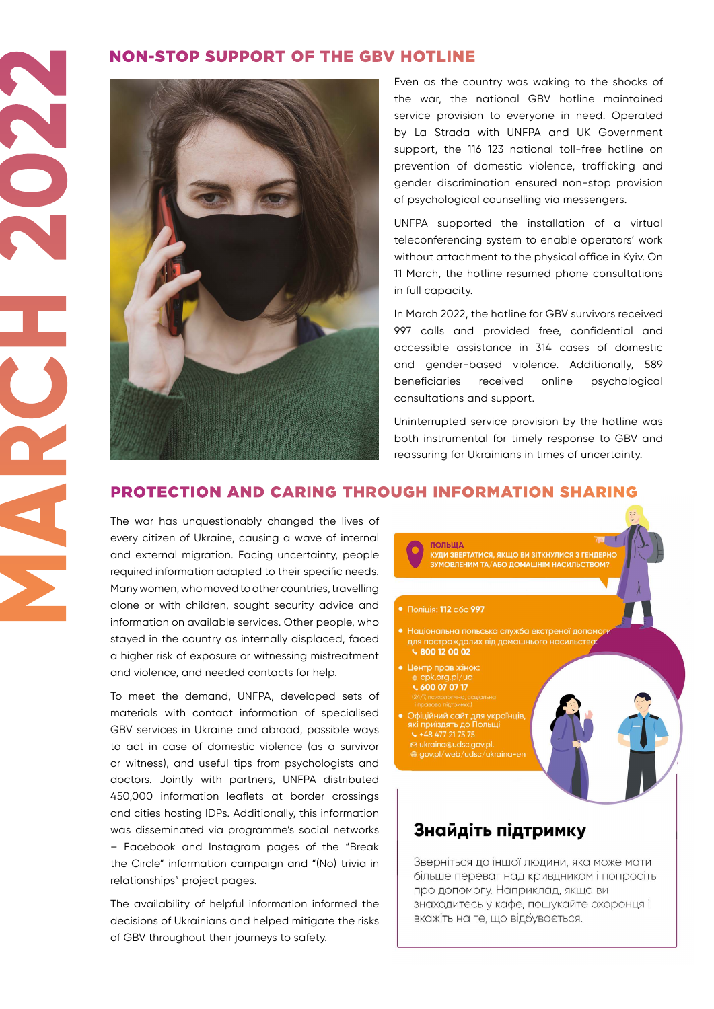#### NON-STOP SUPPORT OF THE GBV HOTLINE



Even as the country was waking to the shocks of the war, the national GBV hotline maintained service provision to everyone in need. Operated by La Strada with UNFPA and UK Government support, the 116 123 national toll-free hotline on prevention of domestic violence, trafficking and gender discrimination ensured non-stop provision of psychological counselling via messengers.

UNFPA supported the installation of a virtual teleconferencing system to enable operators' work without attachment to the physical office in Kyiv. On 11 March, the hotline resumed phone consultations in full capacity.

In March 2022, the hotline for GBV survivors received 997 calls and provided free, confidential and accessible assistance in 314 cases of domestic and gender-based violence. Additionally, 589 beneficiaries received online psychological consultations and support.

Uninterrupted service provision by the hotline was both instrumental for timely response to GBV and reassuring for Ukrainians in times of uncertainty.

## PROTECTION AND CARING THROUGH INFORMATION SHARING

The war has unquestionably changed the lives of every citizen of Ukraine, causing a wave of internal and external migration. Facing uncertainty, people required information adapted to their specific needs. Many women, who moved to other countries, travelling alone or with children, sought security advice and information on available services. Other people, who stayed in the country as internally displaced, faced a higher risk of exposure or witnessing mistreatment and violence, and needed contacts for help.

To meet the demand, UNFPA, developed sets of materials with contact information of specialised GBV services in Ukraine and abroad, possible ways to act in case of domestic violence (as a survivor or witness), and useful tips from psychologists and doctors. Jointly with partners, UNFPA distributed 450,000 information leaflets at border crossings and cities hosting IDPs. Additionally, this information was disseminated via programme's social networks – Facebook and Instagram pages of the "Break the Circle" information campaign and "(No) trivia in relationships" project pages.

The availability of helpful information informed the decisions of Ukrainians and helped mitigate the risks of GBV throughout their journeys to safety.



# Знайдіть підтримку

Зверніться до іншої людини, яка може мати більше переваг над кривдником і попросіть про допомогу. Наприклад, якщо ви знаходитесь у кафе, пошукайте охоронця і вкажіть на те, що відбувається.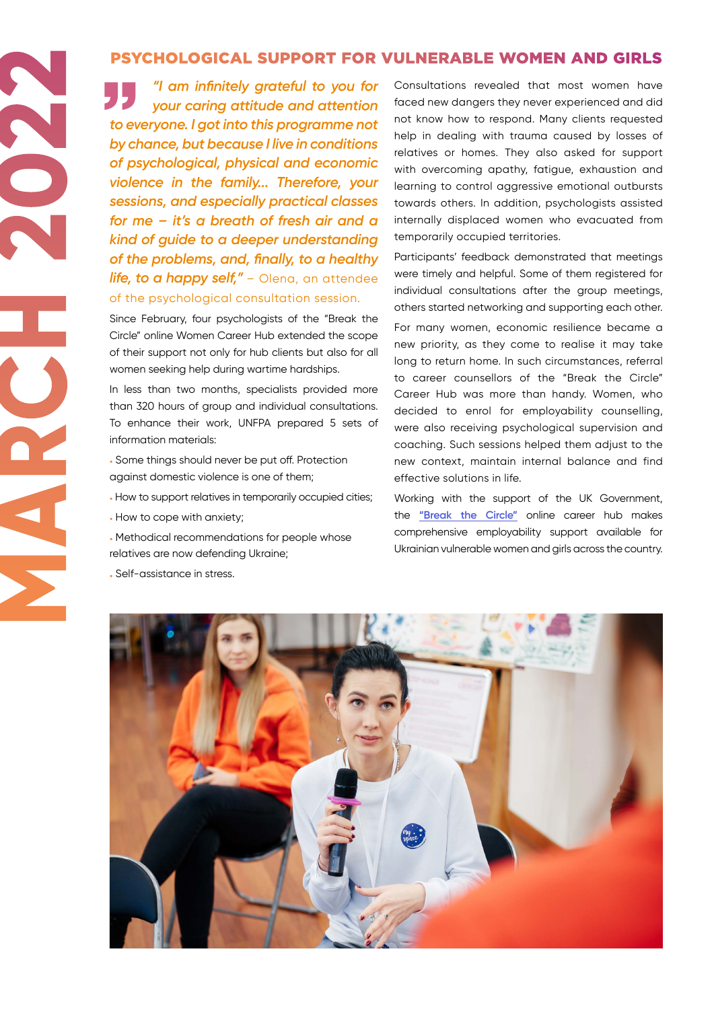### PSYCHOLOGICAL SUPPORT FOR VULNERABLE WOMEN AND GIRLS

*"I am infinitely grateful to you for your caring attitude and attention to everyone. I got into this programme not by chance, but because I live in conditions of psychological, physical and economic violence in the family... Therefore, your sessions, and especially practical classes for me – it's a breath of fresh air and a kind of guide to a deeper understanding of the problems, and, finally, to a healthy life, to a happy self,"* – Olena, an attendee of the psychological consultation session.

Since February, four psychologists of the "Break the Circle" online Women Career Hub extended the scope of their support not only for hub clients but also for all women seeking help during wartime hardships.

In less than two months, specialists provided more than 320 hours of group and individual consultations. To enhance their work, UNFPA prepared 5 sets of information materials:

- Some things should never be put off. Protection against domestic violence is one of them;
- How to support relatives in temporarily occupied cities;
- How to cope with anxiety;

**MARCH 2022** 

- Methodical recommendations for people whose relatives are now defending Ukraine;
- Self-assistance in stress.

Consultations revealed that most women have faced new dangers they never experienced and did not know how to respond. Many clients requested help in dealing with trauma caused by losses of relatives or homes. They also asked for support with overcoming apathy, fatigue, exhaustion and learning to control aggressive emotional outbursts towards others. In addition, psychologists assisted internally displaced women who evacuated from temporarily occupied territories.

Participants' feedback demonstrated that meetings were timely and helpful. Some of them registered for individual consultations after the group meetings, others started networking and supporting each other.

For many women, economic resilience became a new priority, as they come to realise it may take long to return home. In such circumstances, referral to career counsellors of the "Break the Circle" Career Hub was more than handy. Women, who decided to enrol for employability counselling, were also receiving psychological supervision and coaching. Such sessions helped them adjust to the new context, maintain internal balance and find effective solutions in life.

Working with the support of the UK Government, the **["Break the Circle"](https://careerhub.rozirvykolo.org/)** online career hub makes comprehensive employability support available for Ukrainian vulnerable women and girls across the country.